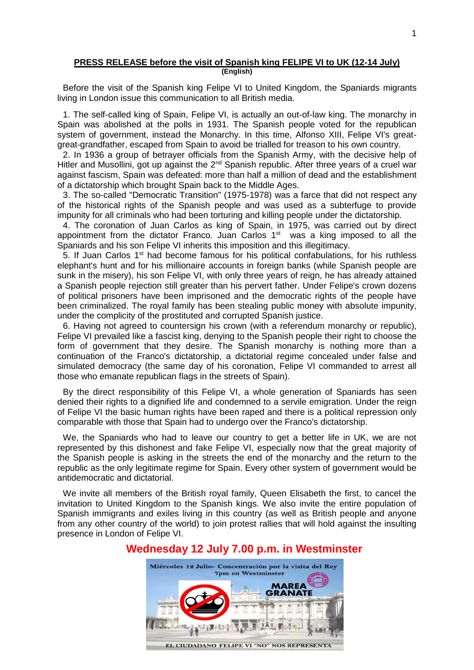#### **PRESS RELEASE before the visit of Spanish king FELIPE VI to UK (12-14 July) (English)**

Before the visit of the Spanish king Felipe VI to United Kingdom, the Spaniards migrants living in London issue this communication to all British media.

1. The self-called king of Spain, Felipe VI, is actually an out-of-law king. The monarchy in Spain was abolished at the polls in 1931. The Spanish people voted for the republican system of government, instead the Monarchy. In this time, Alfonso XIII, Felipe VI's greatgreat-grandfather, escaped from Spain to avoid be trialled for treason to his own country.

2. In 1936 a group of betrayer officials from the Spanish Army, with the decisive help of Hitler and Musollini, got up against the  $2^{nd}$  Spanish republic. After three years of a cruel war against fascism, Spain was defeated: more than half a million of dead and the establishment of a dictatorship which brought Spain back to the Middle Ages.

3. The so-called "Democratic Transition" (1975-1978) was a farce that did not respect any of the historical rights of the Spanish people and was used as a subterfuge to provide impunity for all criminals who had been torturing and killing people under the dictatorship.

4. The coronation of Juan Carlos as king of Spain, in 1975, was carried out by direct appointment from the dictator Franco. Juan Carlos  $1<sup>st</sup>$  was a king imposed to all the Spaniards and his son Felipe VI inherits this imposition and this illegitimacy.

5. If Juan Carlos  $1<sup>st</sup>$  had become famous for his political confabulations, for his ruthless elephant's hunt and for his millionaire accounts in foreign banks (while Spanish people are sunk in the misery), his son Felipe VI, with only three years of reign, he has already attained a Spanish people rejection still greater than his pervert father. Under Felipe's crown dozens of political prisoners have been imprisoned and the democratic rights of the people have been criminalized. The royal family has been stealing public money with absolute impunity, under the complicity of the prostituted and corrupted Spanish justice.

6. Having not agreed to countersign his crown (with a referendum monarchy or republic), Felipe VI prevailed like a fascist king, denying to the Spanish people their right to choose the form of government that they desire. The Spanish monarchy is nothing more than a continuation of the Franco's dictatorship, a dictatorial regime concealed under false and simulated democracy (the same day of his coronation, Felipe VI commanded to arrest all those who emanate republican flags in the streets of Spain).

By the direct responsibility of this Felipe VI, a whole generation of Spaniards has seen denied their rights to a dignified life and condemned to a servile emigration. Under the reign of Felipe VI the basic human rights have been raped and there is a political repression only comparable with those that Spain had to undergo over the Franco's dictatorship.

We, the Spaniards who had to leave our country to get a better life in UK, we are not represented by this dishonest and fake Felipe VI, especially now that the great majority of the Spanish people is asking in the streets the end of the monarchy and the return to the republic as the only legitimate regime for Spain. Every other system of government would be antidemocratic and dictatorial.

We invite all members of the British royal family, Queen Elisabeth the first, to cancel the invitation to United Kingdom to the Spanish kings. We also invite the entire population of Spanish immigrants and exiles living in this country (as well as British people and anyone from any other country of the world) to join protest rallies that will hold against the insulting presence in London of Felipe VI.

# Miércoles 12 Julio- Concentración por la visita del Rey 7pm en Westminster **MAREA GRANATE** EL CIUDADANO FELIPE VI "NO" NOS REPRESENTA

## **Wednesday 12 July 7.00 p.m. in Westminster**